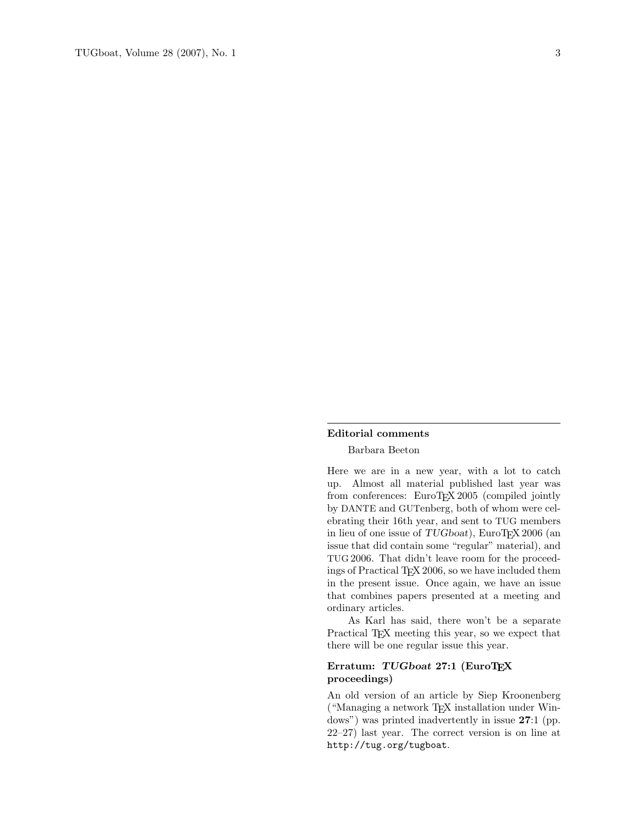#### Editorial comments

## Barbara Beeton

Here we are in a new year, with a lot to catch up. Almost all material published last year was from conferences: EuroTEX 2005 (compiled jointly by DANTE and GUTenberg, both of whom were celebrating their 16th year, and sent to TUG members in lieu of one issue of TUGboat), EuroTEX 2006 (an issue that did contain some "regular" material), and TUG 2006. That didn't leave room for the proceedings of Practical TEX 2006, so we have included them in the present issue. Once again, we have an issue that combines papers presented at a meeting and ordinary articles.

As Karl has said, there won't be a separate Practical TEX meeting this year, so we expect that there will be one regular issue this year.

# Erratum: TUGboat 27:1 (EuroTEX proceedings)

An old version of an article by Siep Kroonenberg ("Managing a network TEX installation under Windows") was printed inadvertently in issue 27:1 (pp. 22–27) last year. The correct version is on line at http://tug.org/tugboat.